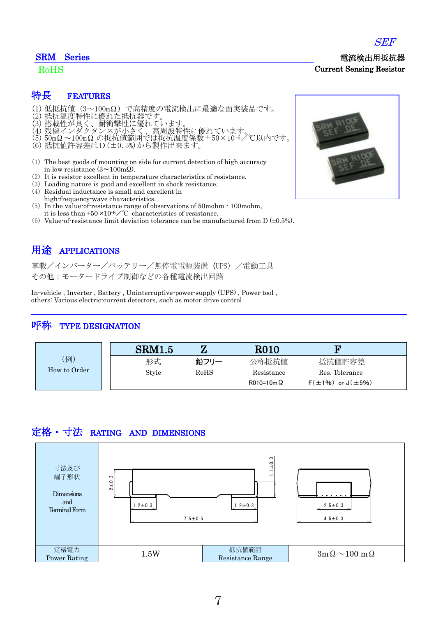### SRM Series

### RoHS

### 特長 FEATURES

- (1) 低抵抗値(3~100mΩ)で高精度の電流検出に最適な面実装品です。
- (2) 抵抗温度特性に優れた抵抗器です。
- (3) 搭載性が良く、耐衝撃性に優れています。
- (4) 残留インダクタンスが小さく、高周波特性に優れています。
- (5) 50mΩ~100mΩ の抵抗値範囲では抵抗温度係数±50×10-6/℃以内です。
- (6) 抵抗値許容差はD(±0.5%)から製作出来ます。
- (1) The best goods of mounting on side for current detection of high accuracy in low resistance  $(3 \sim 100 \text{m}\Omega)$ .
- (2) It is resistor excellent in temperature characteristics of resistance.
- (3) Loading nature is good and excellent in shock resistance.
- (4) Residual inductance is small and excellent in high-frequency-wave characteristics.
- (5) In the value-of-resistance range of observations of 50mohm 100mohm, it is less than  $\pm 50 \times 10^{-6}$  C characteristics of resistance.
- (6) Value-of-resistance limit deviation tolerance can be manufactured from  $D \left( \pm 0.5\% \right)$ .

## 用途 APPLICATIONS

車載/インバーター/バッテリー/無停電電源装置 (UPS) /電動工具 その他:モータードライブ制御などの各種電流検出回路

In-vehicle , Inverter , Battery , Uninterruptive-power-supply (UPS) , Power tool , others: Various electric-current detectors, such as motor drive control

### 呼称 TYPE DESIGNATION

|              | SRM1.5 |      | <b>R010</b>      | 'n                           |
|--------------|--------|------|------------------|------------------------------|
| 例)           | 形式     | 鉛フリー | 公称抵抗值            | 抵抗値許容差                       |
| How to Order | Style  | RoHS | Resistance       | Res. Tolerance               |
|              |        |      | $R010=10m\Omega$ | $F(\pm 1\%)$ or $J(\pm 5\%)$ |

# 定格・寸法 RATING AND DIMENSIONS







Current Sensing Resistor